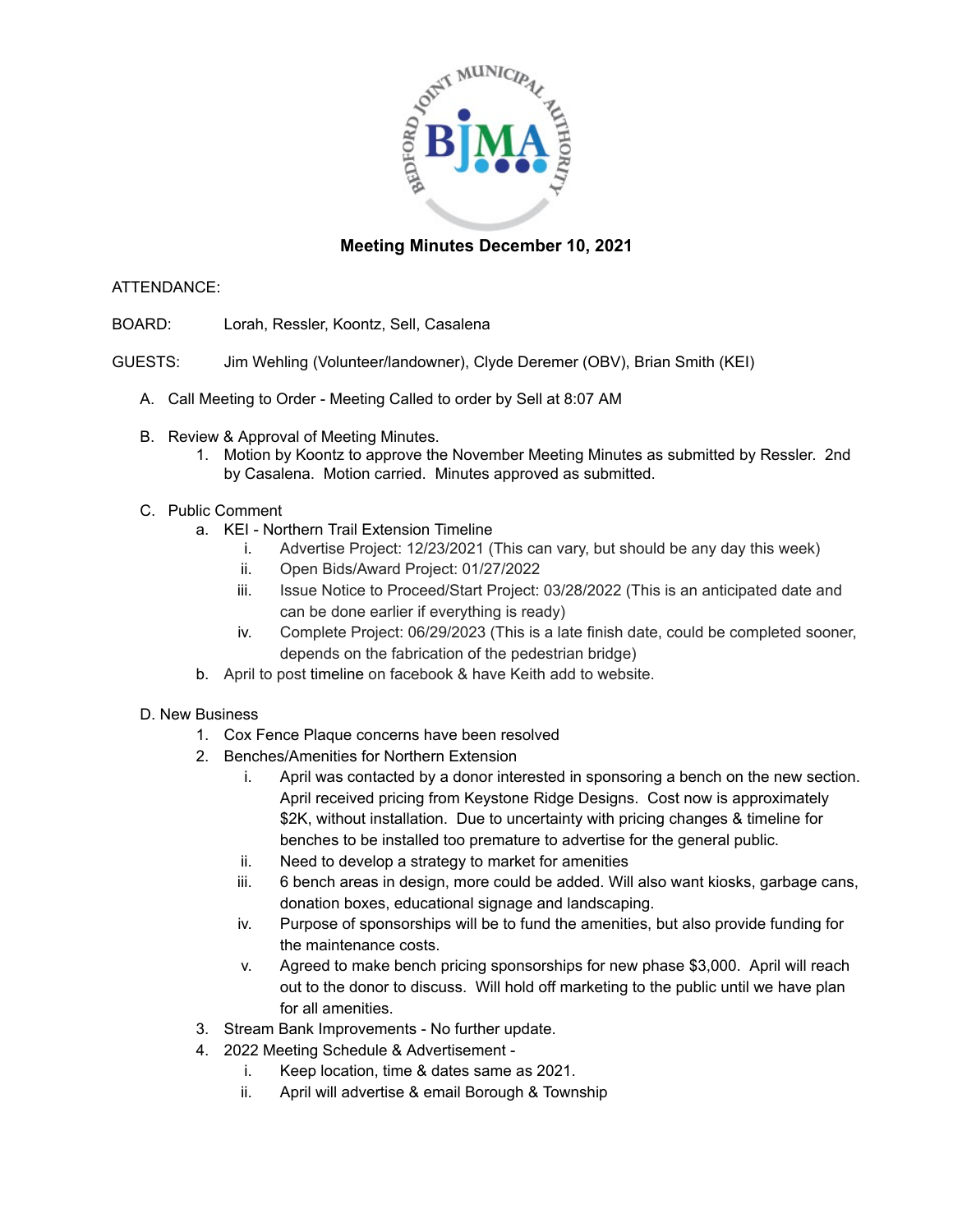

# **Meeting Minutes December 10, 2021**

### ATTENDANCE:

- BOARD: Lorah, Ressler, Koontz, Sell, Casalena
- GUESTS: Jim Wehling (Volunteer/landowner), Clyde Deremer (OBV), Brian Smith (KEI)
	- A. Call Meeting to Order Meeting Called to order by Sell at 8:07 AM
	- B. Review & Approval of Meeting Minutes.
		- 1. Motion by Koontz to approve the November Meeting Minutes as submitted by Ressler. 2nd by Casalena. Motion carried. Minutes approved as submitted.
	- C. Public Comment
		- a. KEI Northern Trail Extension Timeline
			- i. Advertise Project: 12/23/2021 (This can vary, but should be any day this week)
			- ii. Open Bids/Award Project: 01/27/2022
			- iii. Issue Notice to Proceed/Start Project: 03/28/2022 (This is an anticipated date and can be done earlier if everything is ready)
			- iv. Complete Project: 06/29/2023 (This is a late finish date, could be completed sooner, depends on the fabrication of the pedestrian bridge)
		- b. April to post timeline on facebook & have Keith add to website.

### D. New Business

- 1. Cox Fence Plaque concerns have been resolved
- 2. Benches/Amenities for Northern Extension
	- i. April was contacted by a donor interested in sponsoring a bench on the new section. April received pricing from Keystone Ridge Designs. Cost now is approximately \$2K, without installation. Due to uncertainty with pricing changes & timeline for benches to be installed too premature to advertise for the general public.
	- ii. Need to develop a strategy to market for amenities
	- iii. 6 bench areas in design, more could be added. Will also want kiosks, garbage cans, donation boxes, educational signage and landscaping.
	- iv. Purpose of sponsorships will be to fund the amenities, but also provide funding for the maintenance costs.
	- v. Agreed to make bench pricing sponsorships for new phase \$3,000. April will reach out to the donor to discuss. Will hold off marketing to the public until we have plan for all amenities.
- 3. Stream Bank Improvements No further update.
- 4. 2022 Meeting Schedule & Advertisement
	- i. Keep location, time & dates same as 2021.
	- ii. April will advertise & email Borough & Township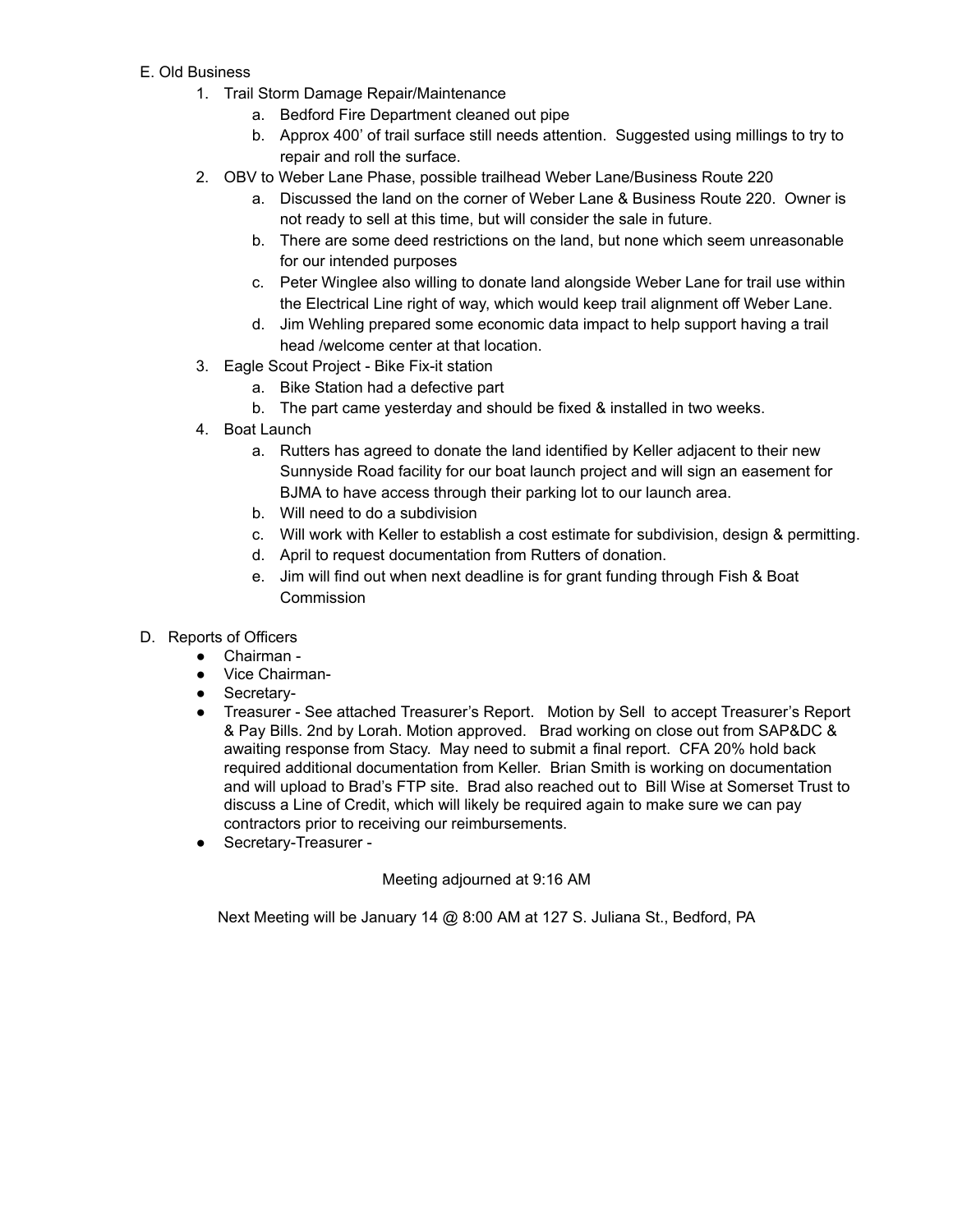## E. Old Business

- 1. Trail Storm Damage Repair/Maintenance
	- a. Bedford Fire Department cleaned out pipe
	- b. Approx 400' of trail surface still needs attention. Suggested using millings to try to repair and roll the surface.
- 2. OBV to Weber Lane Phase, possible trailhead Weber Lane/Business Route 220
	- a. Discussed the land on the corner of Weber Lane & Business Route 220. Owner is not ready to sell at this time, but will consider the sale in future.
	- b. There are some deed restrictions on the land, but none which seem unreasonable for our intended purposes
	- c. Peter Winglee also willing to donate land alongside Weber Lane for trail use within the Electrical Line right of way, which would keep trail alignment off Weber Lane.
	- d. Jim Wehling prepared some economic data impact to help support having a trail head /welcome center at that location.
- 3. Eagle Scout Project Bike Fix-it station
	- a. Bike Station had a defective part
	- b. The part came yesterday and should be fixed & installed in two weeks.
- 4. Boat Launch
	- a. Rutters has agreed to donate the land identified by Keller adjacent to their new Sunnyside Road facility for our boat launch project and will sign an easement for BJMA to have access through their parking lot to our launch area.
	- b. Will need to do a subdivision
	- c. Will work with Keller to establish a cost estimate for subdivision, design & permitting.
	- d. April to request documentation from Rutters of donation.
	- e. Jim will find out when next deadline is for grant funding through Fish & Boat **Commission**
- D. Reports of Officers
	- Chairman -
	- Vice Chairman-
	- Secretary-
	- Treasurer See attached Treasurer's Report. Motion by Sell to accept Treasurer's Report & Pay Bills. 2nd by Lorah. Motion approved. Brad working on close out from SAP&DC & awaiting response from Stacy. May need to submit a final report. CFA 20% hold back required additional documentation from Keller. Brian Smith is working on documentation and will upload to Brad's FTP site. Brad also reached out to Bill Wise at Somerset Trust to discuss a Line of Credit, which will likely be required again to make sure we can pay contractors prior to receiving our reimbursements.
	- Secretary-Treasurer -

### Meeting adjourned at 9:16 AM

Next Meeting will be January 14 @ 8:00 AM at 127 S. Juliana St., Bedford, PA